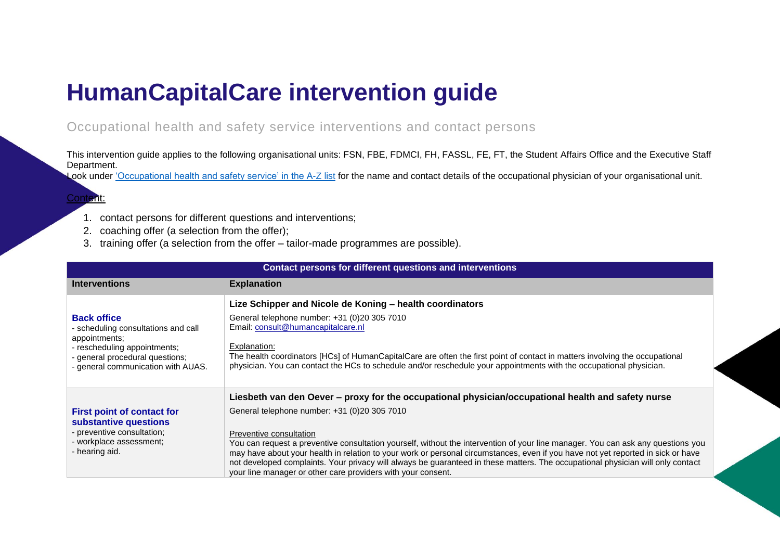## **HumanCapitalCare intervention guide**

Occupational health and safety service interventions and contact persons

This intervention guide applies to the following organisational units: FSN, FBE, FDMCI, FH, FASSL, FE, FT, the Student Affairs Office and the Executive Staff Department.

Look under ['Occupational health and safety service' in the A-Z list](https://az.hva.nl/medewerkers/staven-en-diensten/az-lemmas/medewerkers/hva-breed/ac-hr/arbodienst/arbodienst.html?origin=EYPxGBCiReW4zt5jgW0eJw) for the name and contact details of the occupational physician of your organisational unit.

## Content:

- 1. contact persons for different questions and interventions;
- 2. coaching offer (a selection from the offer);
- 3. training offer (a selection from the offer tailor-made programmes are possible).

|                                                                                                                                                                                     | <b>Contact persons for different questions and interventions</b>                                                                                                                                                                                                                                                                                                                                                                                                                                                                                                                                                                                         |
|-------------------------------------------------------------------------------------------------------------------------------------------------------------------------------------|----------------------------------------------------------------------------------------------------------------------------------------------------------------------------------------------------------------------------------------------------------------------------------------------------------------------------------------------------------------------------------------------------------------------------------------------------------------------------------------------------------------------------------------------------------------------------------------------------------------------------------------------------------|
| <b>Interventions</b>                                                                                                                                                                | <b>Explanation</b>                                                                                                                                                                                                                                                                                                                                                                                                                                                                                                                                                                                                                                       |
| <b>Back office</b><br>- scheduling consultations and call<br>appointments:<br>- rescheduling appointments;<br>- general procedural questions;<br>- general communication with AUAS. | Lize Schipper and Nicole de Koning - health coordinators<br>General telephone number: +31 (0)20 305 7010<br>Email: consult@humancapitalcare.nl<br>Explanation:<br>The health coordinators [HCs] of HumanCapitalCare are often the first point of contact in matters involving the occupational<br>physician. You can contact the HCs to schedule and/or reschedule your appointments with the occupational physician.                                                                                                                                                                                                                                    |
| First point of contact for<br>substantive questions<br>- preventive consultation;<br>- workplace assessment;<br>- hearing aid.                                                      | Liesbeth van den Oever – proxy for the occupational physician/occupational health and safety nurse<br>General telephone number: +31 (0)20 305 7010<br>Preventive consultation<br>You can request a preventive consultation yourself, without the intervention of your line manager. You can ask any questions you<br>may have about your health in relation to your work or personal circumstances, even if you have not yet reported in sick or have<br>not developed complaints. Your privacy will always be guaranteed in these matters. The occupational physician will only contact<br>your line manager or other care providers with your consent. |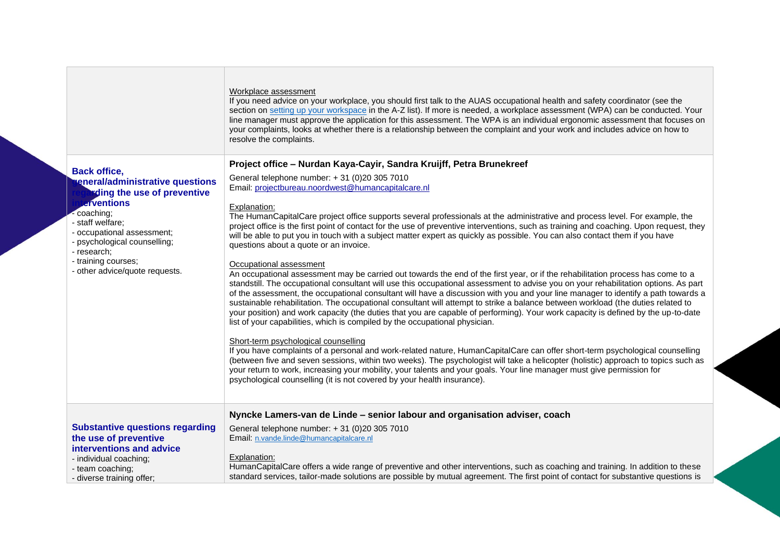|                                                                                                            | Workplace assessment<br>If you need advice on your workplace, you should first talk to the AUAS occupational health and safety coordinator (see the<br>section on setting up your workspace in the A-Z list). If more is needed, a workplace assessment (WPA) can be conducted. Your<br>line manager must approve the application for this assessment. The WPA is an individual ergonomic assessment that focuses on<br>your complaints, looks at whether there is a relationship between the complaint and your work and includes advice on how to<br>resolve the complaints.                                                                                                                                                                                                                 |
|------------------------------------------------------------------------------------------------------------|------------------------------------------------------------------------------------------------------------------------------------------------------------------------------------------------------------------------------------------------------------------------------------------------------------------------------------------------------------------------------------------------------------------------------------------------------------------------------------------------------------------------------------------------------------------------------------------------------------------------------------------------------------------------------------------------------------------------------------------------------------------------------------------------|
| <b>Back office,</b>                                                                                        | Project office - Nurdan Kaya-Cayir, Sandra Kruijff, Petra Brunekreef                                                                                                                                                                                                                                                                                                                                                                                                                                                                                                                                                                                                                                                                                                                           |
| eneral/administrative questions<br><b>Eding the use of preventive</b><br><b>erventions</b>                 | General telephone number: + 31 (0)20 305 7010<br>Email: projectbureau.noordwest@humancapitalcare.nl<br>Explanation:                                                                                                                                                                                                                                                                                                                                                                                                                                                                                                                                                                                                                                                                            |
| coaching;<br>- staff welfare;<br>- occupational assessment;<br>- psychological counselling;<br>- research; | The HumanCapitalCare project office supports several professionals at the administrative and process level. For example, the<br>project office is the first point of contact for the use of preventive interventions, such as training and coaching. Upon request, they<br>will be able to put you in touch with a subject matter expert as quickly as possible. You can also contact them if you have<br>questions about a quote or an invoice.                                                                                                                                                                                                                                                                                                                                               |
| - training courses;<br>- other advice/quote requests.                                                      | Occupational assessment<br>An occupational assessment may be carried out towards the end of the first year, or if the rehabilitation process has come to a<br>standstill. The occupational consultant will use this occupational assessment to advise you on your rehabilitation options. As part<br>of the assessment, the occupational consultant will have a discussion with you and your line manager to identify a path towards a<br>sustainable rehabilitation. The occupational consultant will attempt to strike a balance between workload (the duties related to<br>your position) and work capacity (the duties that you are capable of performing). Your work capacity is defined by the up-to-date<br>list of your capabilities, which is compiled by the occupational physician. |
|                                                                                                            | Short-term psychological counselling<br>If you have complaints of a personal and work-related nature, HumanCapitalCare can offer short-term psychological counselling<br>(between five and seven sessions, within two weeks). The psychologist will take a helicopter (holistic) approach to topics such as<br>your return to work, increasing your mobility, your talents and your goals. Your line manager must give permission for<br>psychological counselling (it is not covered by your health insurance).                                                                                                                                                                                                                                                                               |
|                                                                                                            | Nyncke Lamers-van de Linde - senior labour and organisation adviser, coach                                                                                                                                                                                                                                                                                                                                                                                                                                                                                                                                                                                                                                                                                                                     |
| <b>Substantive questions regarding</b><br>the use of preventive<br>interventions and advice                | General telephone number: +31 (0)20 305 7010<br>Email: n.vande.linde@humancapitalcare.nl                                                                                                                                                                                                                                                                                                                                                                                                                                                                                                                                                                                                                                                                                                       |
| - individual coaching;<br>- team coaching;<br>- diverse training offer;                                    | Explanation:<br>HumanCapitalCare offers a wide range of preventive and other interventions, such as coaching and training. In addition to these<br>standard services, tailor-made solutions are possible by mutual agreement. The first point of contact for substantive questions is                                                                                                                                                                                                                                                                                                                                                                                                                                                                                                          |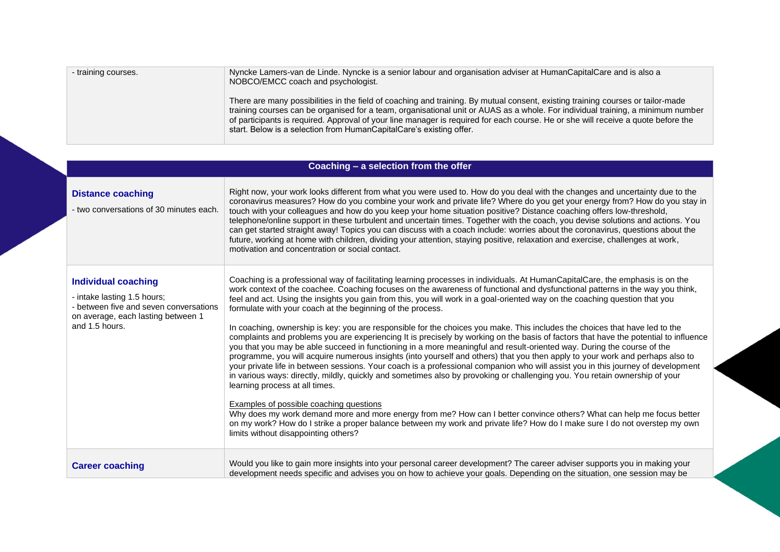| - training courses. | Nyncke Lamers-van de Linde. Nyncke is a senior labour and organisation adviser at HumanCapitalCare and is also a<br>NOBCO/EMCC coach and psychologist.                                                                                                                                                                                                                                                                                                                         |
|---------------------|--------------------------------------------------------------------------------------------------------------------------------------------------------------------------------------------------------------------------------------------------------------------------------------------------------------------------------------------------------------------------------------------------------------------------------------------------------------------------------|
|                     | There are many possibilities in the field of coaching and training. By mutual consent, existing training courses or tailor-made<br>training courses can be organised for a team, organisational unit or AUAS as a whole. For individual training, a minimum number<br>of participants is required. Approval of your line manager is required for each course. He or she will receive a quote before the<br>start. Below is a selection from HumanCapitalCare's existing offer. |

|                                                                                                                                                             | Coaching - a selection from the offer                                                                                                                                                                                                                                                                                                                                                                                                                                                                                                                                                                                                                                                                                                                                                                                                                                                                                                                                                                                                                                                                                                                                                                                                                                                                                                                                                                                                                                                                                                                                                                                                        |
|-------------------------------------------------------------------------------------------------------------------------------------------------------------|----------------------------------------------------------------------------------------------------------------------------------------------------------------------------------------------------------------------------------------------------------------------------------------------------------------------------------------------------------------------------------------------------------------------------------------------------------------------------------------------------------------------------------------------------------------------------------------------------------------------------------------------------------------------------------------------------------------------------------------------------------------------------------------------------------------------------------------------------------------------------------------------------------------------------------------------------------------------------------------------------------------------------------------------------------------------------------------------------------------------------------------------------------------------------------------------------------------------------------------------------------------------------------------------------------------------------------------------------------------------------------------------------------------------------------------------------------------------------------------------------------------------------------------------------------------------------------------------------------------------------------------------|
| <b>Distance coaching</b><br>- two conversations of 30 minutes each.                                                                                         | Right now, your work looks different from what you were used to. How do you deal with the changes and uncertainty due to the<br>coronavirus measures? How do you combine your work and private life? Where do you get your energy from? How do you stay in<br>touch with your colleagues and how do you keep your home situation positive? Distance coaching offers low-threshold,<br>telephone/online support in these turbulent and uncertain times. Together with the coach, you devise solutions and actions. You<br>can get started straight away! Topics you can discuss with a coach include: worries about the coronavirus, questions about the<br>future, working at home with children, dividing your attention, staying positive, relaxation and exercise, challenges at work,<br>motivation and concentration or social contact.                                                                                                                                                                                                                                                                                                                                                                                                                                                                                                                                                                                                                                                                                                                                                                                                 |
| <b>Individual coaching</b><br>- intake lasting 1.5 hours;<br>- between five and seven conversations<br>on average, each lasting between 1<br>and 1.5 hours. | Coaching is a professional way of facilitating learning processes in individuals. At HumanCapitalCare, the emphasis is on the<br>work context of the coachee. Coaching focuses on the awareness of functional and dysfunctional patterns in the way you think,<br>feel and act. Using the insights you gain from this, you will work in a goal-oriented way on the coaching question that you<br>formulate with your coach at the beginning of the process.<br>In coaching, ownership is key: you are responsible for the choices you make. This includes the choices that have led to the<br>complaints and problems you are experiencing It is precisely by working on the basis of factors that have the potential to influence<br>you that you may be able succeed in functioning in a more meaningful and result-oriented way. During the course of the<br>programme, you will acquire numerous insights (into yourself and others) that you then apply to your work and perhaps also to<br>your private life in between sessions. Your coach is a professional companion who will assist you in this journey of development<br>in various ways: directly, mildly, quickly and sometimes also by provoking or challenging you. You retain ownership of your<br>learning process at all times.<br>Examples of possible coaching questions<br>Why does my work demand more and more energy from me? How can I better convince others? What can help me focus better<br>on my work? How do I strike a proper balance between my work and private life? How do I make sure I do not overstep my own<br>limits without disappointing others? |
| <b>Career coaching</b>                                                                                                                                      | Would you like to gain more insights into your personal career development? The career adviser supports you in making your<br>development needs specific and advises you on how to achieve your goals. Depending on the situation, one session may be                                                                                                                                                                                                                                                                                                                                                                                                                                                                                                                                                                                                                                                                                                                                                                                                                                                                                                                                                                                                                                                                                                                                                                                                                                                                                                                                                                                        |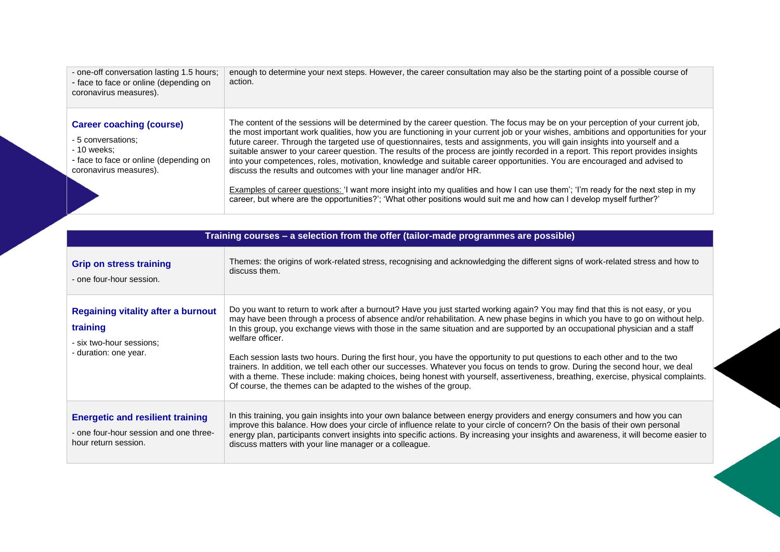| - one-off conversation lasting 1.5 hours;<br>- face to face or online (depending on<br>coronavirus measures).                            | enough to determine your next steps. However, the career consultation may also be the starting point of a possible course of<br>action.                                                                                                                                                                                                                                                                                                                                                                                                                                                                                                                                                                                                                                                                                                                                                                                                                                                                      |
|------------------------------------------------------------------------------------------------------------------------------------------|--------------------------------------------------------------------------------------------------------------------------------------------------------------------------------------------------------------------------------------------------------------------------------------------------------------------------------------------------------------------------------------------------------------------------------------------------------------------------------------------------------------------------------------------------------------------------------------------------------------------------------------------------------------------------------------------------------------------------------------------------------------------------------------------------------------------------------------------------------------------------------------------------------------------------------------------------------------------------------------------------------------|
| <b>Career coaching (course)</b><br>- 5 conversations:<br>- 10 weeks:<br>- face to face or online (depending on<br>coronavirus measures). | The content of the sessions will be determined by the career question. The focus may be on your perception of your current job,<br>the most important work qualities, how you are functioning in your current job or your wishes, ambitions and opportunities for your<br>future career. Through the targeted use of questionnaires, tests and assignments, you will gain insights into yourself and a<br>suitable answer to your career question. The results of the process are jointly recorded in a report. This report provides insights<br>into your competences, roles, motivation, knowledge and suitable career opportunities. You are encouraged and advised to<br>discuss the results and outcomes with your line manager and/or HR.<br>Examples of career questions: 'I want more insight into my qualities and how I can use them'; 'I'm ready for the next step in my<br>career, but where are the opportunities?'; 'What other positions would suit me and how can I develop myself further?' |

|                                                                                                            | Training courses - a selection from the offer (tailor-made programmes are possible)                                                                                                                                                                                                                                                                                                                                                                                                                                                                                                                                                                                                                                                                                                                                                                                                           |
|------------------------------------------------------------------------------------------------------------|-----------------------------------------------------------------------------------------------------------------------------------------------------------------------------------------------------------------------------------------------------------------------------------------------------------------------------------------------------------------------------------------------------------------------------------------------------------------------------------------------------------------------------------------------------------------------------------------------------------------------------------------------------------------------------------------------------------------------------------------------------------------------------------------------------------------------------------------------------------------------------------------------|
| <b>Grip on stress training</b><br>- one four-hour session.                                                 | Themes: the origins of work-related stress, recognising and acknowledging the different signs of work-related stress and how to<br>discuss them.                                                                                                                                                                                                                                                                                                                                                                                                                                                                                                                                                                                                                                                                                                                                              |
| <b>Regaining vitality after a burnout</b><br>training<br>- six two-hour sessions;<br>- duration: one year. | Do you want to return to work after a burnout? Have you just started working again? You may find that this is not easy, or you<br>may have been through a process of absence and/or rehabilitation. A new phase begins in which you have to go on without help.<br>In this group, you exchange views with those in the same situation and are supported by an occupational physician and a staff<br>welfare officer.<br>Each session lasts two hours. During the first hour, you have the opportunity to put questions to each other and to the two<br>trainers. In addition, we tell each other our successes. Whatever you focus on tends to grow. During the second hour, we deal<br>with a theme. These include: making choices, being honest with yourself, assertiveness, breathing, exercise, physical complaints.<br>Of course, the themes can be adapted to the wishes of the group. |
| <b>Energetic and resilient training</b><br>- one four-hour session and one three-<br>hour return session.  | In this training, you gain insights into your own balance between energy providers and energy consumers and how you can<br>improve this balance. How does your circle of influence relate to your circle of concern? On the basis of their own personal<br>energy plan, participants convert insights into specific actions. By increasing your insights and awareness, it will become easier to<br>discuss matters with your line manager or a colleague.                                                                                                                                                                                                                                                                                                                                                                                                                                    |